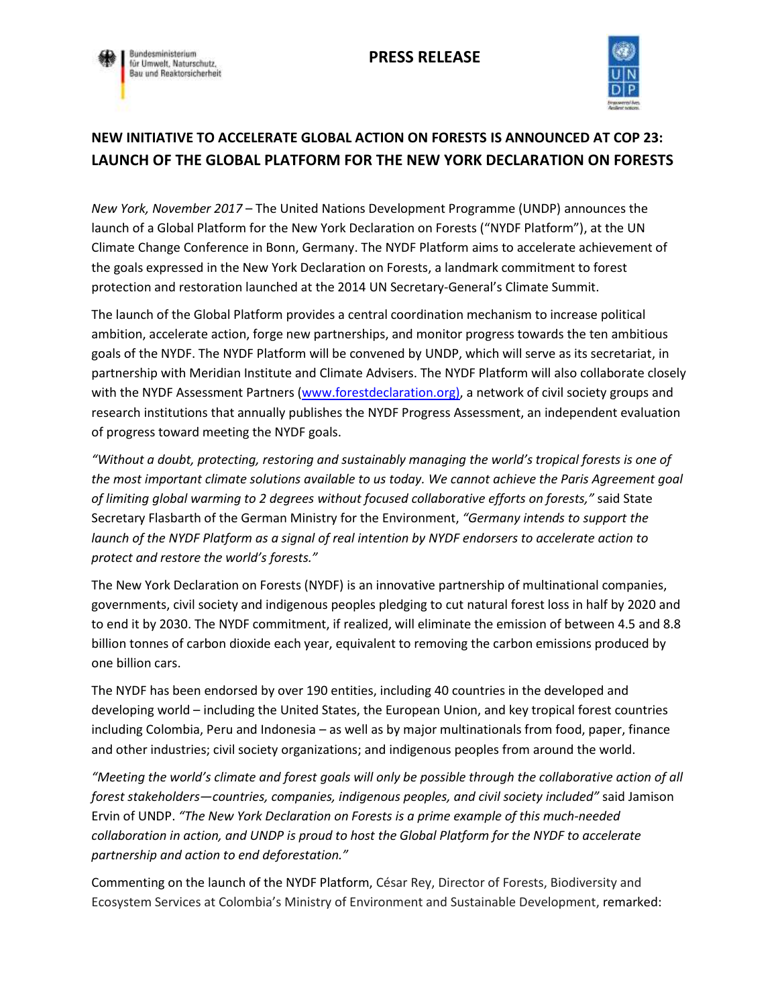



## **NEW INITIATIVE TO ACCELERATE GLOBAL ACTION ON FORESTS IS ANNOUNCED AT COP 23: LAUNCH OF THE GLOBAL PLATFORM FOR THE NEW YORK DECLARATION ON FORESTS**

*New York, November 2017* – The United Nations Development Programme (UNDP) announces the launch of a Global Platform for the New York Declaration on Forests ("NYDF Platform"), at the UN Climate Change Conference in Bonn, Germany. The NYDF Platform aims to accelerate achievement of the goals expressed in the New York Declaration on Forests, a landmark commitment to forest protection and restoration launched at the 2014 UN Secretary-General's Climate Summit.

The launch of the Global Platform provides a central coordination mechanism to increase political ambition, accelerate action, forge new partnerships, and monitor progress towards the ten ambitious goals of the NYDF. The NYDF Platform will be convened by UNDP, which will serve as its secretariat, in partnership with Meridian Institute and Climate Advisers. The NYDF Platform will also collaborate closely with the NYDF Assessment Partners [\(www.forestdeclaration.org\),](http://www.forestdeclaration.org)/) a network of civil society groups and research institutions that annually publishes the NYDF Progress Assessment, an independent evaluation of progress toward meeting the NYDF goals.

*"Without a doubt, protecting, restoring and sustainably managing the world's tropical forests is one of the most important climate solutions available to us today. We cannot achieve the Paris Agreement goal of limiting global warming to 2 degrees without focused collaborative efforts on forests,"* said State Secretary Flasbarth of the German Ministry for the Environment, *"Germany intends to support the launch of the NYDF Platform as a signal of real intention by NYDF endorsers to accelerate action to protect and restore the world's forests."*

The New York Declaration on Forests (NYDF) is an innovative partnership of multinational companies, governments, civil society and indigenous peoples pledging to cut natural forest loss in half by 2020 and to end it by 2030. The NYDF commitment, if realized, will eliminate the emission of between 4.5 and 8.8 billion tonnes of carbon dioxide each year, equivalent to removing the carbon emissions produced by one billion cars.

The NYDF has been endorsed by over 190 entities, including 40 countries in the developed and developing world – including the United States, the European Union, and key tropical forest countries including Colombia, Peru and Indonesia – as well as by major multinationals from food, paper, finance and other industries; civil society organizations; and indigenous peoples from around the world.

*"Meeting the world's climate and forest goals will only be possible through the collaborative action of all forest stakeholders—countries, companies, indigenous peoples, and civil society included"* said Jamison Ervin of UNDP. *"The New York Declaration on Forests is a prime example of this much-needed collaboration in action, and UNDP is proud to host the Global Platform for the NYDF to accelerate partnership and action to end deforestation."*

Commenting on the launch of the NYDF Platform, César Rey, Director of Forests, Biodiversity and Ecosystem Services at Colombia's Ministry of Environment and Sustainable Development, remarked: